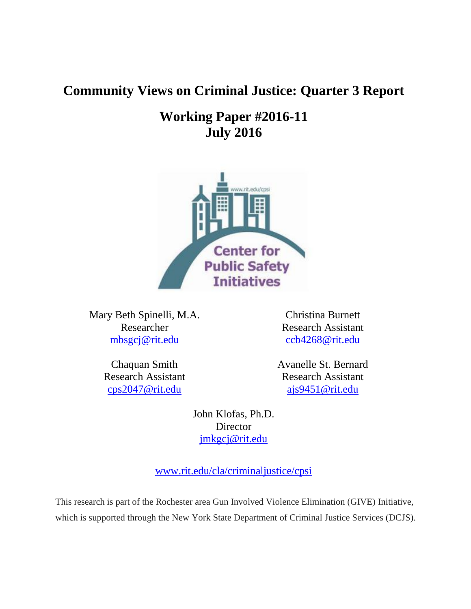# **Community Views on Criminal Justice: Quarter 3 Report**

# **Working Paper #2016-11 July 2016**



Mary Beth Spinelli, M.A. Researcher [mbsgcj@rit.edu](mailto:mbsgcj@rit.edu)

> Chaquan Smith Research Assistant [cps2047@rit.edu](mailto:cps2047@rit.edu)

Christina Burnett Research Assistant [ccb4268@rit.edu](mailto:ccb4268@rit.edu)

Avanelle St. Bernard Research Assistant [ajs9451@rit.edu](mailto:ajs9451@rit.edu)

John Klofas, Ph.D. Director [jmkgcj@rit.edu](mailto:jmkgcj@rit.edu)

[www.rit.edu/cla/criminaljustice/cpsi](http://www.rit.edu/cla/criminaljustice/cpsi)

This research is part of the Rochester area Gun Involved Violence Elimination (GIVE) Initiative, which is supported through the New York State Department of Criminal Justice Services (DCJS).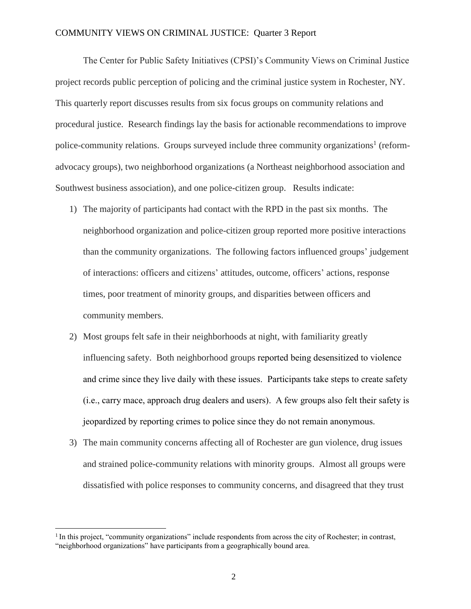The Center for Public Safety Initiatives (CPSI)'s Community Views on Criminal Justice project records public perception of policing and the criminal justice system in Rochester, NY. This quarterly report discusses results from six focus groups on community relations and procedural justice. Research findings lay the basis for actionable recommendations to improve police-community relations. Groups surveyed include three community organizations<sup>1</sup> (reformadvocacy groups), two neighborhood organizations (a Northeast neighborhood association and Southwest business association), and one police-citizen group. Results indicate:

- 1) The majority of participants had contact with the RPD in the past six months. The neighborhood organization and police-citizen group reported more positive interactions than the community organizations. The following factors influenced groups' judgement of interactions: officers and citizens' attitudes, outcome, officers' actions, response times, poor treatment of minority groups, and disparities between officers and community members.
- 2) Most groups felt safe in their neighborhoods at night, with familiarity greatly influencing safety. Both neighborhood groups reported being desensitized to violence and crime since they live daily with these issues. Participants take steps to create safety (i.e., carry mace, approach drug dealers and users). A few groups also felt their safety is jeopardized by reporting crimes to police since they do not remain anonymous.
- 3) The main community concerns affecting all of Rochester are gun violence, drug issues and strained police-community relations with minority groups. Almost all groups were dissatisfied with police responses to community concerns, and disagreed that they trust

 $\overline{a}$ 

<sup>&</sup>lt;sup>1</sup> In this project, "community organizations" include respondents from across the city of Rochester; in contrast, "neighborhood organizations" have participants from a geographically bound area.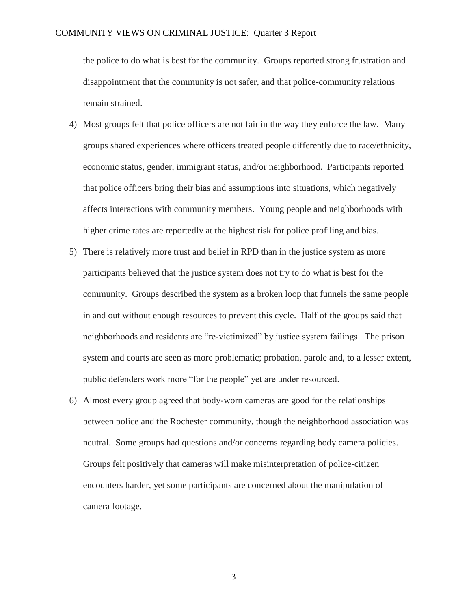the police to do what is best for the community. Groups reported strong frustration and disappointment that the community is not safer, and that police-community relations remain strained.

- 4) Most groups felt that police officers are not fair in the way they enforce the law. Many groups shared experiences where officers treated people differently due to race/ethnicity, economic status, gender, immigrant status, and/or neighborhood. Participants reported that police officers bring their bias and assumptions into situations, which negatively affects interactions with community members. Young people and neighborhoods with higher crime rates are reportedly at the highest risk for police profiling and bias.
- 5) There is relatively more trust and belief in RPD than in the justice system as more participants believed that the justice system does not try to do what is best for the community. Groups described the system as a broken loop that funnels the same people in and out without enough resources to prevent this cycle. Half of the groups said that neighborhoods and residents are "re-victimized" by justice system failings. The prison system and courts are seen as more problematic; probation, parole and, to a lesser extent, public defenders work more "for the people" yet are under resourced.
- 6) Almost every group agreed that body-worn cameras are good for the relationships between police and the Rochester community, though the neighborhood association was neutral. Some groups had questions and/or concerns regarding body camera policies. Groups felt positively that cameras will make misinterpretation of police-citizen encounters harder, yet some participants are concerned about the manipulation of camera footage.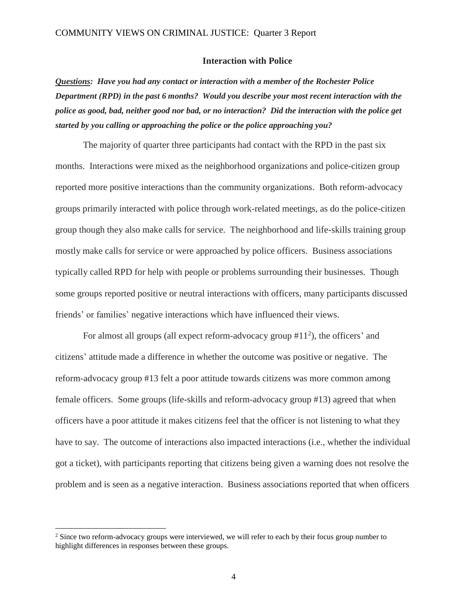#### **Interaction with Police**

*Questions: Have you had any contact or interaction with a member of the Rochester Police Department (RPD) in the past 6 months? Would you describe your most recent interaction with the police as good, bad, neither good nor bad, or no interaction? Did the interaction with the police get started by you calling or approaching the police or the police approaching you?* 

The majority of quarter three participants had contact with the RPD in the past six months. Interactions were mixed as the neighborhood organizations and police-citizen group reported more positive interactions than the community organizations. Both reform-advocacy groups primarily interacted with police through work-related meetings, as do the police-citizen group though they also make calls for service. The neighborhood and life-skills training group mostly make calls for service or were approached by police officers. Business associations typically called RPD for help with people or problems surrounding their businesses. Though some groups reported positive or neutral interactions with officers, many participants discussed friends' or families' negative interactions which have influenced their views.

For almost all groups (all expect reform-advocacy group  $#11<sup>2</sup>$ ), the officers' and citizens' attitude made a difference in whether the outcome was positive or negative. The reform-advocacy group #13 felt a poor attitude towards citizens was more common among female officers. Some groups (life-skills and reform-advocacy group #13) agreed that when officers have a poor attitude it makes citizens feel that the officer is not listening to what they have to say. The outcome of interactions also impacted interactions (i.e., whether the individual got a ticket), with participants reporting that citizens being given a warning does not resolve the problem and is seen as a negative interaction. Business associations reported that when officers

 $\overline{a}$ 

<sup>&</sup>lt;sup>2</sup> Since two reform-advocacy groups were interviewed, we will refer to each by their focus group number to highlight differences in responses between these groups.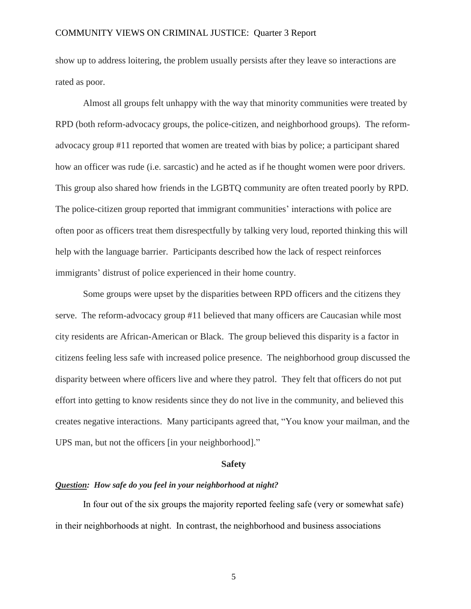show up to address loitering, the problem usually persists after they leave so interactions are rated as poor.

Almost all groups felt unhappy with the way that minority communities were treated by RPD (both reform-advocacy groups, the police-citizen, and neighborhood groups). The reformadvocacy group #11 reported that women are treated with bias by police; a participant shared how an officer was rude (i.e. sarcastic) and he acted as if he thought women were poor drivers. This group also shared how friends in the LGBTQ community are often treated poorly by RPD. The police-citizen group reported that immigrant communities' interactions with police are often poor as officers treat them disrespectfully by talking very loud, reported thinking this will help with the language barrier. Participants described how the lack of respect reinforces immigrants' distrust of police experienced in their home country.

Some groups were upset by the disparities between RPD officers and the citizens they serve. The reform-advocacy group #11 believed that many officers are Caucasian while most city residents are African-American or Black. The group believed this disparity is a factor in citizens feeling less safe with increased police presence. The neighborhood group discussed the disparity between where officers live and where they patrol. They felt that officers do not put effort into getting to know residents since they do not live in the community, and believed this creates negative interactions. Many participants agreed that, "You know your mailman, and the UPS man, but not the officers [in your neighborhood]."

#### **Safety**

#### *Question: How safe do you feel in your neighborhood at night?*

In four out of the six groups the majority reported feeling safe (very or somewhat safe) in their neighborhoods at night. In contrast, the neighborhood and business associations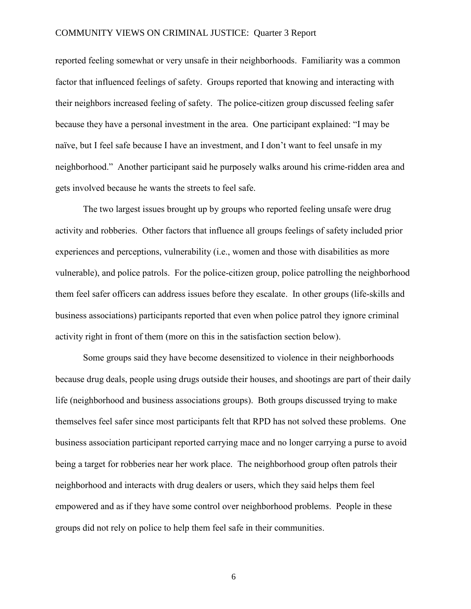reported feeling somewhat or very unsafe in their neighborhoods. Familiarity was a common factor that influenced feelings of safety. Groups reported that knowing and interacting with their neighbors increased feeling of safety. The police-citizen group discussed feeling safer because they have a personal investment in the area. One participant explained: "I may be naïve, but I feel safe because I have an investment, and I don't want to feel unsafe in my neighborhood." Another participant said he purposely walks around his crime-ridden area and gets involved because he wants the streets to feel safe.

The two largest issues brought up by groups who reported feeling unsafe were drug activity and robberies. Other factors that influence all groups feelings of safety included prior experiences and perceptions, vulnerability (i.e., women and those with disabilities as more vulnerable), and police patrols. For the police-citizen group, police patrolling the neighborhood them feel safer officers can address issues before they escalate. In other groups (life-skills and business associations) participants reported that even when police patrol they ignore criminal activity right in front of them (more on this in the satisfaction section below).

Some groups said they have become desensitized to violence in their neighborhoods because drug deals, people using drugs outside their houses, and shootings are part of their daily life (neighborhood and business associations groups). Both groups discussed trying to make themselves feel safer since most participants felt that RPD has not solved these problems. One business association participant reported carrying mace and no longer carrying a purse to avoid being a target for robberies near her work place. The neighborhood group often patrols their neighborhood and interacts with drug dealers or users, which they said helps them feel empowered and as if they have some control over neighborhood problems. People in these groups did not rely on police to help them feel safe in their communities.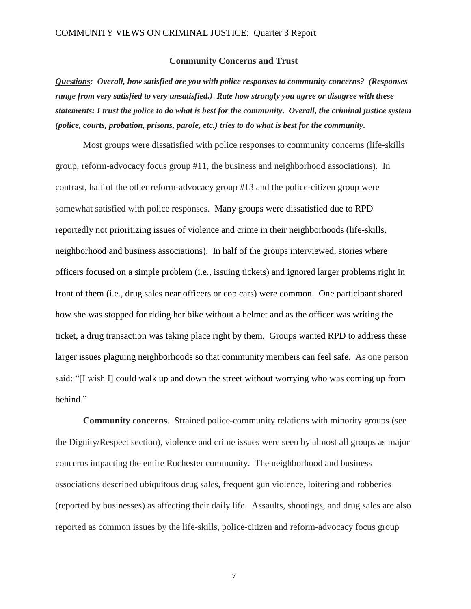#### **Community Concerns and Trust**

*Questions: Overall, how satisfied are you with police responses to community concerns? (Responses range from very satisfied to very unsatisfied.) Rate how strongly you agree or disagree with these statements: I trust the police to do what is best for the community. Overall, the criminal justice system (police, courts, probation, prisons, parole, etc.) tries to do what is best for the community.*

Most groups were dissatisfied with police responses to community concerns (life-skills group, reform-advocacy focus group #11, the business and neighborhood associations). In contrast, half of the other reform-advocacy group #13 and the police-citizen group were somewhat satisfied with police responses. Many groups were dissatisfied due to RPD reportedly not prioritizing issues of violence and crime in their neighborhoods (life-skills, neighborhood and business associations). In half of the groups interviewed, stories where officers focused on a simple problem (i.e., issuing tickets) and ignored larger problems right in front of them (i.e., drug sales near officers or cop cars) were common. One participant shared how she was stopped for riding her bike without a helmet and as the officer was writing the ticket, a drug transaction was taking place right by them. Groups wanted RPD to address these larger issues plaguing neighborhoods so that community members can feel safe. As one person said: "[I wish I] could walk up and down the street without worrying who was coming up from behind."

**Community concerns**. Strained police-community relations with minority groups (see the Dignity/Respect section), violence and crime issues were seen by almost all groups as major concerns impacting the entire Rochester community. The neighborhood and business associations described ubiquitous drug sales, frequent gun violence, loitering and robberies (reported by businesses) as affecting their daily life. Assaults, shootings, and drug sales are also reported as common issues by the life-skills, police-citizen and reform-advocacy focus group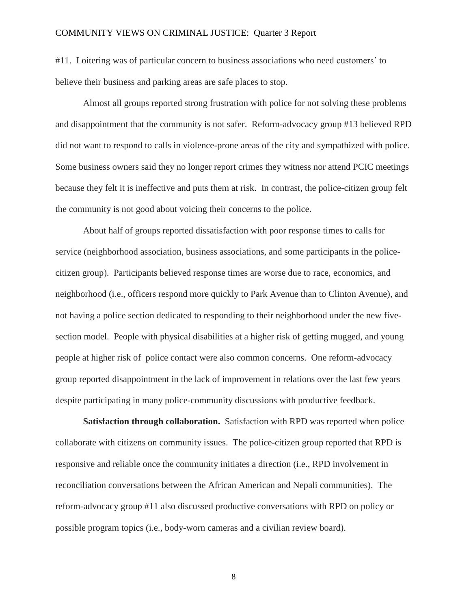#11. Loitering was of particular concern to business associations who need customers' to believe their business and parking areas are safe places to stop.

Almost all groups reported strong frustration with police for not solving these problems and disappointment that the community is not safer. Reform-advocacy group #13 believed RPD did not want to respond to calls in violence-prone areas of the city and sympathized with police. Some business owners said they no longer report crimes they witness nor attend PCIC meetings because they felt it is ineffective and puts them at risk. In contrast, the police-citizen group felt the community is not good about voicing their concerns to the police.

About half of groups reported dissatisfaction with poor response times to calls for service (neighborhood association, business associations, and some participants in the policecitizen group). Participants believed response times are worse due to race, economics, and neighborhood (i.e., officers respond more quickly to Park Avenue than to Clinton Avenue), and not having a police section dedicated to responding to their neighborhood under the new fivesection model. People with physical disabilities at a higher risk of getting mugged, and young people at higher risk of police contact were also common concerns. One reform-advocacy group reported disappointment in the lack of improvement in relations over the last few years despite participating in many police-community discussions with productive feedback.

**Satisfaction through collaboration.** Satisfaction with RPD was reported when police collaborate with citizens on community issues. The police-citizen group reported that RPD is responsive and reliable once the community initiates a direction (i.e., RPD involvement in reconciliation conversations between the African American and Nepali communities). The reform-advocacy group #11 also discussed productive conversations with RPD on policy or possible program topics (i.e., body-worn cameras and a civilian review board).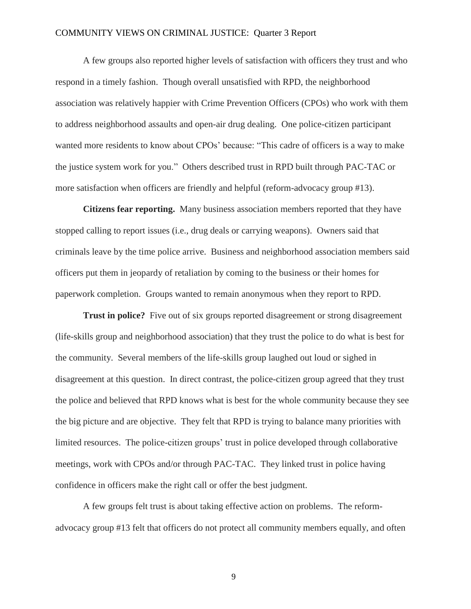A few groups also reported higher levels of satisfaction with officers they trust and who respond in a timely fashion. Though overall unsatisfied with RPD, the neighborhood association was relatively happier with Crime Prevention Officers (CPOs) who work with them to address neighborhood assaults and open-air drug dealing. One police-citizen participant wanted more residents to know about CPOs' because: "This cadre of officers is a way to make the justice system work for you." Others described trust in RPD built through PAC-TAC or more satisfaction when officers are friendly and helpful (reform-advocacy group #13).

**Citizens fear reporting.** Many business association members reported that they have stopped calling to report issues (i.e., drug deals or carrying weapons). Owners said that criminals leave by the time police arrive. Business and neighborhood association members said officers put them in jeopardy of retaliation by coming to the business or their homes for paperwork completion. Groups wanted to remain anonymous when they report to RPD.

**Trust in police?** Five out of six groups reported disagreement or strong disagreement (life-skills group and neighborhood association) that they trust the police to do what is best for the community. Several members of the life-skills group laughed out loud or sighed in disagreement at this question. In direct contrast, the police-citizen group agreed that they trust the police and believed that RPD knows what is best for the whole community because they see the big picture and are objective. They felt that RPD is trying to balance many priorities with limited resources. The police-citizen groups' trust in police developed through collaborative meetings, work with CPOs and/or through PAC-TAC. They linked trust in police having confidence in officers make the right call or offer the best judgment.

A few groups felt trust is about taking effective action on problems. The reformadvocacy group #13 felt that officers do not protect all community members equally, and often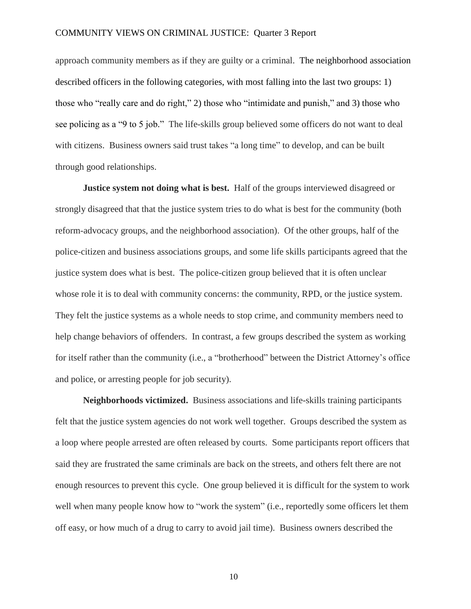approach community members as if they are guilty or a criminal. The neighborhood association described officers in the following categories, with most falling into the last two groups: 1) those who "really care and do right," 2) those who "intimidate and punish," and 3) those who see policing as a "9 to 5 job." The life-skills group believed some officers do not want to deal with citizens. Business owners said trust takes "a long time" to develop, and can be built through good relationships.

**Justice system not doing what is best.** Half of the groups interviewed disagreed or strongly disagreed that that the justice system tries to do what is best for the community (both reform-advocacy groups, and the neighborhood association). Of the other groups, half of the police-citizen and business associations groups, and some life skills participants agreed that the justice system does what is best. The police-citizen group believed that it is often unclear whose role it is to deal with community concerns: the community, RPD, or the justice system. They felt the justice systems as a whole needs to stop crime, and community members need to help change behaviors of offenders. In contrast, a few groups described the system as working for itself rather than the community (i.e., a "brotherhood" between the District Attorney's office and police, or arresting people for job security).

**Neighborhoods victimized.** Business associations and life-skills training participants felt that the justice system agencies do not work well together. Groups described the system as a loop where people arrested are often released by courts. Some participants report officers that said they are frustrated the same criminals are back on the streets, and others felt there are not enough resources to prevent this cycle. One group believed it is difficult for the system to work well when many people know how to "work the system" (i.e., reportedly some officers let them off easy, or how much of a drug to carry to avoid jail time). Business owners described the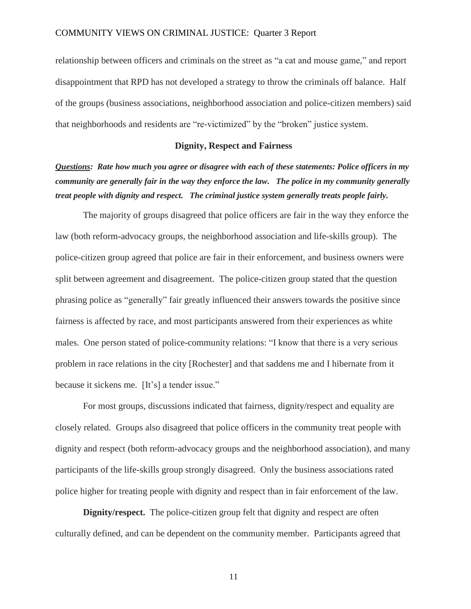relationship between officers and criminals on the street as "a cat and mouse game," and report disappointment that RPD has not developed a strategy to throw the criminals off balance. Half of the groups (business associations, neighborhood association and police-citizen members) said that neighborhoods and residents are "re-victimized" by the "broken" justice system.

#### **Dignity, Respect and Fairness**

*Questions: Rate how much you agree or disagree with each of these statements: Police officers in my community are generally fair in the way they enforce the law. The police in my community generally treat people with dignity and respect. The criminal justice system generally treats people fairly.*

The majority of groups disagreed that police officers are fair in the way they enforce the law (both reform-advocacy groups, the neighborhood association and life-skills group). The police-citizen group agreed that police are fair in their enforcement, and business owners were split between agreement and disagreement. The police-citizen group stated that the question phrasing police as "generally" fair greatly influenced their answers towards the positive since fairness is affected by race, and most participants answered from their experiences as white males. One person stated of police-community relations: "I know that there is a very serious problem in race relations in the city [Rochester] and that saddens me and I hibernate from it because it sickens me. [It's] a tender issue."

For most groups, discussions indicated that fairness, dignity/respect and equality are closely related. Groups also disagreed that police officers in the community treat people with dignity and respect (both reform-advocacy groups and the neighborhood association), and many participants of the life-skills group strongly disagreed. Only the business associations rated police higher for treating people with dignity and respect than in fair enforcement of the law.

**Dignity/respect.** The police-citizen group felt that dignity and respect are often culturally defined, and can be dependent on the community member. Participants agreed that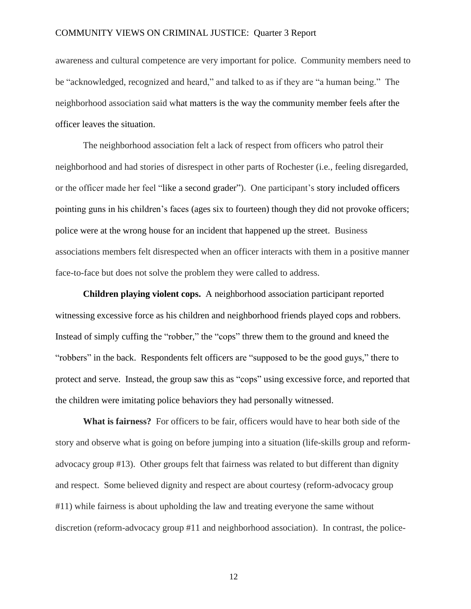awareness and cultural competence are very important for police. Community members need to be "acknowledged, recognized and heard," and talked to as if they are "a human being." The neighborhood association said what matters is the way the community member feels after the officer leaves the situation.

The neighborhood association felt a lack of respect from officers who patrol their neighborhood and had stories of disrespect in other parts of Rochester (i.e., feeling disregarded, or the officer made her feel "like a second grader"). One participant's story included officers pointing guns in his children's faces (ages six to fourteen) though they did not provoke officers; police were at the wrong house for an incident that happened up the street. Business associations members felt disrespected when an officer interacts with them in a positive manner face-to-face but does not solve the problem they were called to address.

**Children playing violent cops.** A neighborhood association participant reported witnessing excessive force as his children and neighborhood friends played cops and robbers. Instead of simply cuffing the "robber," the "cops" threw them to the ground and kneed the "robbers" in the back. Respondents felt officers are "supposed to be the good guys," there to protect and serve. Instead, the group saw this as "cops" using excessive force, and reported that the children were imitating police behaviors they had personally witnessed.

**What is fairness?** For officers to be fair, officers would have to hear both side of the story and observe what is going on before jumping into a situation (life-skills group and reformadvocacy group #13). Other groups felt that fairness was related to but different than dignity and respect. Some believed dignity and respect are about courtesy (reform-advocacy group #11) while fairness is about upholding the law and treating everyone the same without discretion (reform-advocacy group #11 and neighborhood association). In contrast, the police-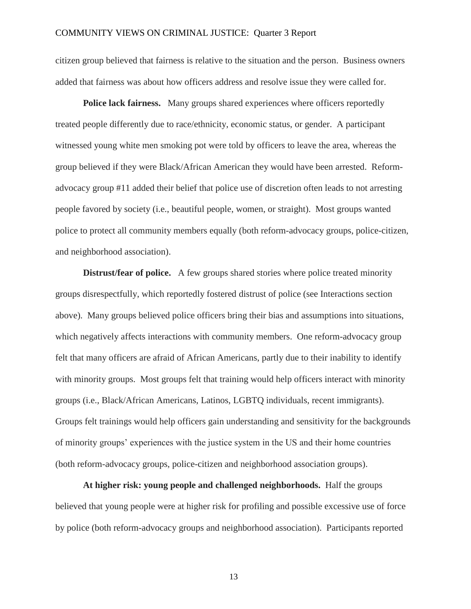citizen group believed that fairness is relative to the situation and the person. Business owners added that fairness was about how officers address and resolve issue they were called for.

**Police lack fairness.** Many groups shared experiences where officers reportedly treated people differently due to race/ethnicity, economic status, or gender. A participant witnessed young white men smoking pot were told by officers to leave the area, whereas the group believed if they were Black/African American they would have been arrested. Reformadvocacy group #11 added their belief that police use of discretion often leads to not arresting people favored by society (i.e., beautiful people, women, or straight). Most groups wanted police to protect all community members equally (both reform-advocacy groups, police-citizen, and neighborhood association).

**Distrust/fear of police.** A few groups shared stories where police treated minority groups disrespectfully, which reportedly fostered distrust of police (see Interactions section above). Many groups believed police officers bring their bias and assumptions into situations, which negatively affects interactions with community members. One reform-advocacy group felt that many officers are afraid of African Americans, partly due to their inability to identify with minority groups. Most groups felt that training would help officers interact with minority groups (i.e., Black/African Americans, Latinos, LGBTQ individuals, recent immigrants). Groups felt trainings would help officers gain understanding and sensitivity for the backgrounds of minority groups' experiences with the justice system in the US and their home countries (both reform-advocacy groups, police-citizen and neighborhood association groups).

**At higher risk: young people and challenged neighborhoods.** Half the groups believed that young people were at higher risk for profiling and possible excessive use of force by police (both reform-advocacy groups and neighborhood association). Participants reported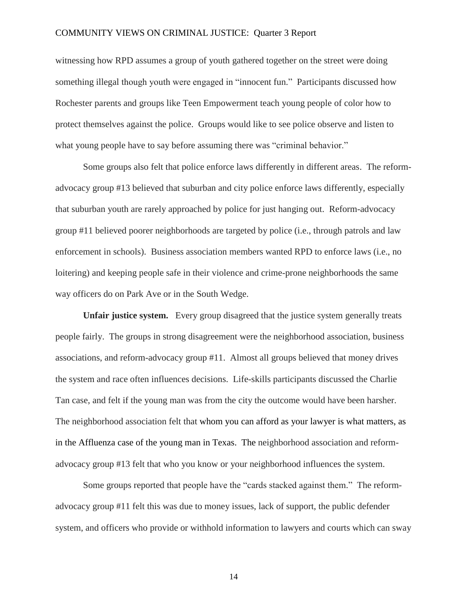witnessing how RPD assumes a group of youth gathered together on the street were doing something illegal though youth were engaged in "innocent fun." Participants discussed how Rochester parents and groups like Teen Empowerment teach young people of color how to protect themselves against the police. Groups would like to see police observe and listen to what young people have to say before assuming there was "criminal behavior."

Some groups also felt that police enforce laws differently in different areas. The reformadvocacy group #13 believed that suburban and city police enforce laws differently, especially that suburban youth are rarely approached by police for just hanging out. Reform-advocacy group #11 believed poorer neighborhoods are targeted by police (i.e., through patrols and law enforcement in schools). Business association members wanted RPD to enforce laws (i.e., no loitering) and keeping people safe in their violence and crime-prone neighborhoods the same way officers do on Park Ave or in the South Wedge.

**Unfair justice system.** Every group disagreed that the justice system generally treats people fairly. The groups in strong disagreement were the neighborhood association, business associations, and reform-advocacy group #11. Almost all groups believed that money drives the system and race often influences decisions. Life-skills participants discussed the Charlie Tan case, and felt if the young man was from the city the outcome would have been harsher. The neighborhood association felt that whom you can afford as your lawyer is what matters, as in the Affluenza case of the young man in Texas. The neighborhood association and reformadvocacy group #13 felt that who you know or your neighborhood influences the system.

Some groups reported that people have the "cards stacked against them." The reformadvocacy group #11 felt this was due to money issues, lack of support, the public defender system, and officers who provide or withhold information to lawyers and courts which can sway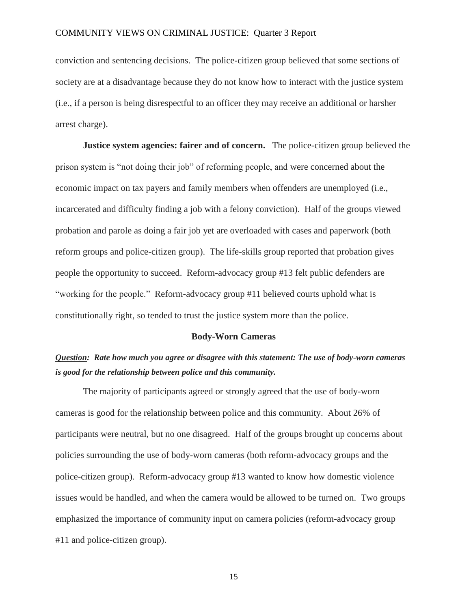conviction and sentencing decisions. The police-citizen group believed that some sections of society are at a disadvantage because they do not know how to interact with the justice system (i.e., if a person is being disrespectful to an officer they may receive an additional or harsher arrest charge).

**Justice system agencies: fairer and of concern.** The police-citizen group believed the prison system is "not doing their job" of reforming people, and were concerned about the economic impact on tax payers and family members when offenders are unemployed (i.e., incarcerated and difficulty finding a job with a felony conviction). Half of the groups viewed probation and parole as doing a fair job yet are overloaded with cases and paperwork (both reform groups and police-citizen group). The life-skills group reported that probation gives people the opportunity to succeed. Reform-advocacy group #13 felt public defenders are "working for the people." Reform-advocacy group #11 believed courts uphold what is constitutionally right, so tended to trust the justice system more than the police.

#### **Body-Worn Cameras**

# *Question: Rate how much you agree or disagree with this statement: The use of body-worn cameras is good for the relationship between police and this community.*

The majority of participants agreed or strongly agreed that the use of body-worn cameras is good for the relationship between police and this community. About 26% of participants were neutral, but no one disagreed. Half of the groups brought up concerns about policies surrounding the use of body-worn cameras (both reform-advocacy groups and the police-citizen group). Reform-advocacy group #13 wanted to know how domestic violence issues would be handled, and when the camera would be allowed to be turned on. Two groups emphasized the importance of community input on camera policies (reform-advocacy group #11 and police-citizen group).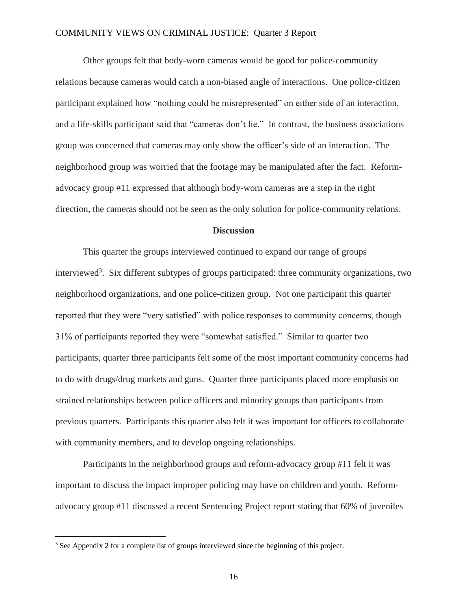Other groups felt that body-worn cameras would be good for police-community relations because cameras would catch a non-biased angle of interactions. One police-citizen participant explained how "nothing could be misrepresented" on either side of an interaction, and a life-skills participant said that "cameras don't lie." In contrast, the business associations group was concerned that cameras may only show the officer's side of an interaction. The neighborhood group was worried that the footage may be manipulated after the fact. Reformadvocacy group #11 expressed that although body-worn cameras are a step in the right direction, the cameras should not be seen as the only solution for police-community relations.

#### **Discussion**

This quarter the groups interviewed continued to expand our range of groups interviewed<sup>3</sup>. Six different subtypes of groups participated: three community organizations, two neighborhood organizations, and one police-citizen group. Not one participant this quarter reported that they were "very satisfied" with police responses to community concerns, though 31% of participants reported they were "somewhat satisfied." Similar to quarter two participants, quarter three participants felt some of the most important community concerns had to do with drugs/drug markets and guns. Quarter three participants placed more emphasis on strained relationships between police officers and minority groups than participants from previous quarters. Participants this quarter also felt it was important for officers to collaborate with community members, and to develop ongoing relationships.

Participants in the neighborhood groups and reform-advocacy group #11 felt it was important to discuss the impact improper policing may have on children and youth. Reformadvocacy group #11 discussed a recent Sentencing Project report stating that 60% of juveniles

 $\overline{\phantom{a}}$ 

<sup>&</sup>lt;sup>3</sup> See Appendix 2 for a complete list of groups interviewed since the beginning of this project.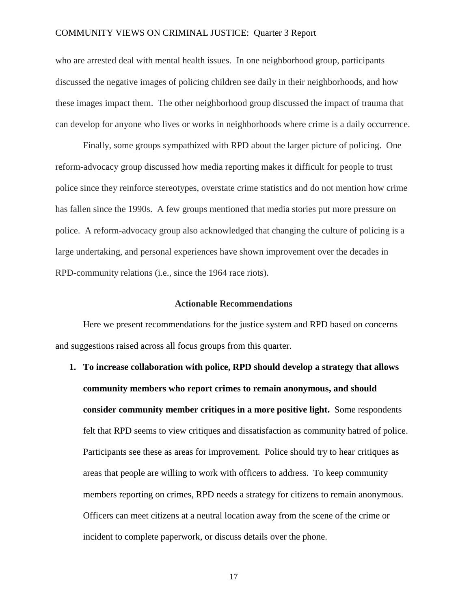who are arrested deal with mental health issues. In one neighborhood group, participants discussed the negative images of policing children see daily in their neighborhoods, and how these images impact them. The other neighborhood group discussed the impact of trauma that can develop for anyone who lives or works in neighborhoods where crime is a daily occurrence.

Finally, some groups sympathized with RPD about the larger picture of policing. One reform-advocacy group discussed how media reporting makes it difficult for people to trust police since they reinforce stereotypes, overstate crime statistics and do not mention how crime has fallen since the 1990s. A few groups mentioned that media stories put more pressure on police. A reform-advocacy group also acknowledged that changing the culture of policing is a large undertaking, and personal experiences have shown improvement over the decades in RPD-community relations (i.e., since the 1964 race riots).

#### **Actionable Recommendations**

Here we present recommendations for the justice system and RPD based on concerns and suggestions raised across all focus groups from this quarter.

**1. To increase collaboration with police, RPD should develop a strategy that allows community members who report crimes to remain anonymous, and should consider community member critiques in a more positive light.** Some respondents felt that RPD seems to view critiques and dissatisfaction as community hatred of police. Participants see these as areas for improvement. Police should try to hear critiques as areas that people are willing to work with officers to address. To keep community members reporting on crimes, RPD needs a strategy for citizens to remain anonymous. Officers can meet citizens at a neutral location away from the scene of the crime or incident to complete paperwork, or discuss details over the phone.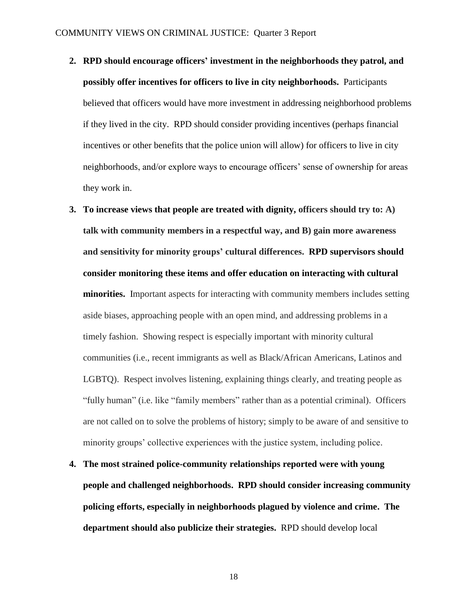- **2. RPD should encourage officers' investment in the neighborhoods they patrol, and possibly offer incentives for officers to live in city neighborhoods.** Participants believed that officers would have more investment in addressing neighborhood problems if they lived in the city. RPD should consider providing incentives (perhaps financial incentives or other benefits that the police union will allow) for officers to live in city neighborhoods, and/or explore ways to encourage officers' sense of ownership for areas they work in.
- **3. To increase views that people are treated with dignity, officers should try to: A) talk with community members in a respectful way, and B) gain more awareness and sensitivity for minority groups' cultural differences. RPD supervisors should consider monitoring these items and offer education on interacting with cultural minorities.** Important aspects for interacting with community members includes setting aside biases, approaching people with an open mind, and addressing problems in a timely fashion. Showing respect is especially important with minority cultural communities (i.e., recent immigrants as well as Black/African Americans, Latinos and LGBTQ). Respect involves listening, explaining things clearly, and treating people as "fully human" (i.e. like "family members" rather than as a potential criminal). Officers are not called on to solve the problems of history; simply to be aware of and sensitive to minority groups' collective experiences with the justice system, including police.
- **4. The most strained police-community relationships reported were with young people and challenged neighborhoods. RPD should consider increasing community policing efforts, especially in neighborhoods plagued by violence and crime. The department should also publicize their strategies.** RPD should develop local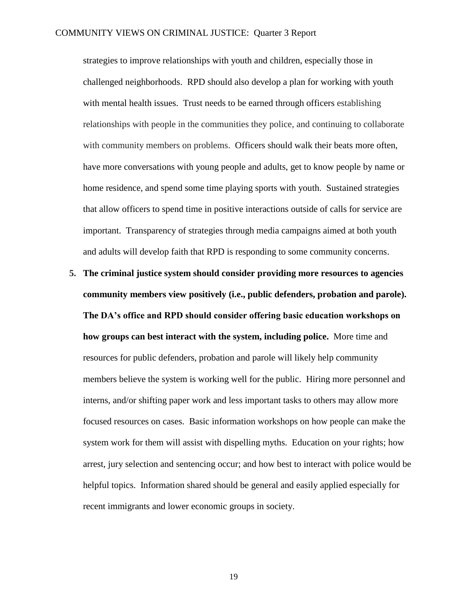strategies to improve relationships with youth and children, especially those in challenged neighborhoods. RPD should also develop a plan for working with youth with mental health issues. Trust needs to be earned through officers establishing relationships with people in the communities they police, and continuing to collaborate with community members on problems. Officers should walk their beats more often, have more conversations with young people and adults, get to know people by name or home residence, and spend some time playing sports with youth. Sustained strategies that allow officers to spend time in positive interactions outside of calls for service are important. Transparency of strategies through media campaigns aimed at both youth and adults will develop faith that RPD is responding to some community concerns.

**5. The criminal justice system should consider providing more resources to agencies community members view positively (i.e., public defenders, probation and parole). The DA's office and RPD should consider offering basic education workshops on how groups can best interact with the system, including police.** More time and resources for public defenders, probation and parole will likely help community members believe the system is working well for the public. Hiring more personnel and interns, and/or shifting paper work and less important tasks to others may allow more focused resources on cases. Basic information workshops on how people can make the system work for them will assist with dispelling myths. Education on your rights; how arrest, jury selection and sentencing occur; and how best to interact with police would be helpful topics. Information shared should be general and easily applied especially for recent immigrants and lower economic groups in society.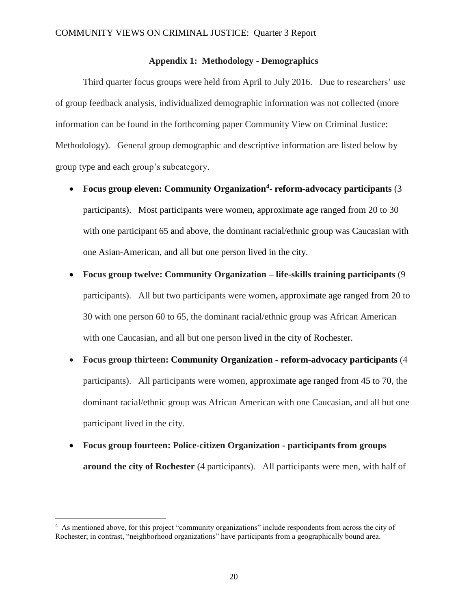#### **Appendix 1: Methodology - Demographics**

Third quarter focus groups were held from April to July 2016. Due to researchers' use of group feedback analysis, individualized demographic information was not collected (more information can be found in the forthcoming paper Community View on Criminal Justice: Methodology). General group demographic and descriptive information are listed below by group type and each group's subcategory.

- **Focus group eleven: Community Organization<sup>4</sup> - reform-advocacy participants** (3 participants). Most participants were women, approximate age ranged from 20 to 30 with one participant 65 and above, the dominant racial/ethnic group was Caucasian with one Asian-American, and all but one person lived in the city.
- **Focus group twelve: Community Organization – life-skills training participants** (9 participants). All but two participants were women**,** approximate age ranged from 20 to 30 with one person 60 to 65, the dominant racial/ethnic group was African American with one Caucasian, and all but one person lived in the city of Rochester.
- **Focus group thirteen: Community Organization - reform-advocacy participants** (4 participants). All participants were women, approximate age ranged from 45 to 70, the dominant racial/ethnic group was African American with one Caucasian, and all but one participant lived in the city.
- **Focus group fourteen: Police-citizen Organization - participants from groups around the city of Rochester** (4 participants). All participants were men, with half of

 $\overline{\phantom{a}}$ 

<sup>&</sup>lt;sup>4</sup> As mentioned above, for this project "community organizations" include respondents from across the city of Rochester; in contrast, "neighborhood organizations" have participants from a geographically bound area.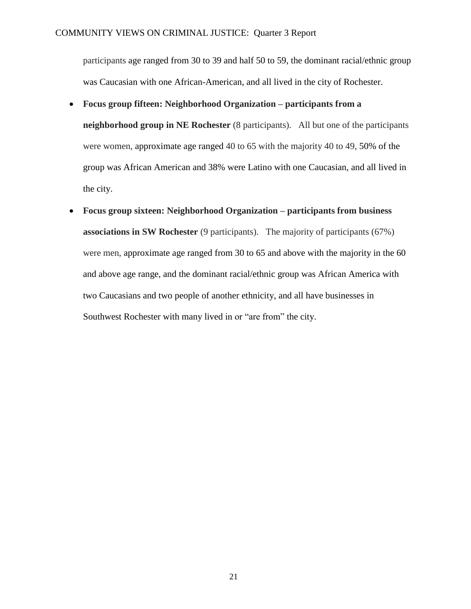participants age ranged from 30 to 39 and half 50 to 59, the dominant racial/ethnic group was Caucasian with one African-American, and all lived in the city of Rochester.

**Focus group fifteen: Neighborhood Organization – participants from a**

**neighborhood group in NE Rochester** (8 participants). All but one of the participants were women, approximate age ranged 40 to 65 with the majority 40 to 49, 50% of the group was African American and 38% were Latino with one Caucasian, and all lived in the city.

 **Focus group sixteen: Neighborhood Organization – participants from business associations in SW Rochester** (9 participants). The majority of participants (67%) were men, approximate age ranged from 30 to 65 and above with the majority in the 60 and above age range, and the dominant racial/ethnic group was African America with two Caucasians and two people of another ethnicity, and all have businesses in Southwest Rochester with many lived in or "are from" the city.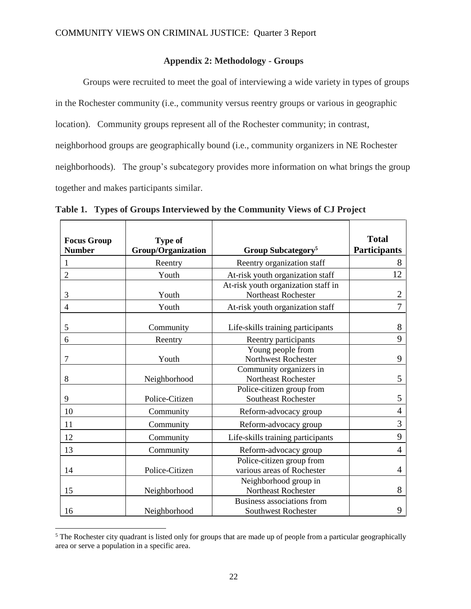### **Appendix 2: Methodology - Groups**

Groups were recruited to meet the goal of interviewing a wide variety in types of groups in the Rochester community (i.e., community versus reentry groups or various in geographic location). Community groups represent all of the Rochester community; in contrast, neighborhood groups are geographically bound (i.e., community organizers in NE Rochester neighborhoods). The group's subcategory provides more information on what brings the group together and makes participants similar.

| <b>Focus Group</b> | <b>Type of</b>            |                                                            | <b>Total</b>        |
|--------------------|---------------------------|------------------------------------------------------------|---------------------|
| <b>Number</b>      | <b>Group/Organization</b> | Group Subcategory <sup>5</sup>                             | <b>Participants</b> |
|                    | Reentry                   | Reentry organization staff                                 | 8                   |
| $\overline{2}$     | Youth                     | At-risk youth organization staff                           | 12                  |
| 3                  | Youth                     | At-risk youth organization staff in<br>Northeast Rochester | $\overline{2}$      |
| $\overline{4}$     | Youth                     | At-risk youth organization staff                           | 7                   |
| 5                  | Community                 | Life-skills training participants                          | 8                   |
| 6                  | Reentry                   | Reentry participants                                       | 9                   |
| 7                  | Youth                     | Young people from<br>Northwest Rochester                   | 9                   |
| 8                  | Neighborhood              | Community organizers in<br><b>Northeast Rochester</b>      | 5                   |
| 9                  | Police-Citizen            | Police-citizen group from<br><b>Southeast Rochester</b>    | 5                   |
| 10                 | Community                 | Reform-advocacy group                                      | $\overline{4}$      |
| 11                 | Community                 | Reform-advocacy group                                      | 3                   |
| 12                 | Community                 | Life-skills training participants                          | 9                   |
| 13                 | Community                 | Reform-advocacy group                                      | 4                   |
| 14                 | Police-Citizen            | Police-citizen group from<br>various areas of Rochester    | 4                   |
| 15                 | Neighborhood              | Neighborhood group in<br>Northeast Rochester               | 8                   |
| 16                 | Neighborhood              | Business associations from<br><b>Southwest Rochester</b>   | 9                   |

**Table 1. Types of Groups Interviewed by the Community Views of CJ Project**

 $\overline{a}$ 

<sup>&</sup>lt;sup>5</sup> The Rochester city quadrant is listed only for groups that are made up of people from a particular geographically area or serve a population in a specific area.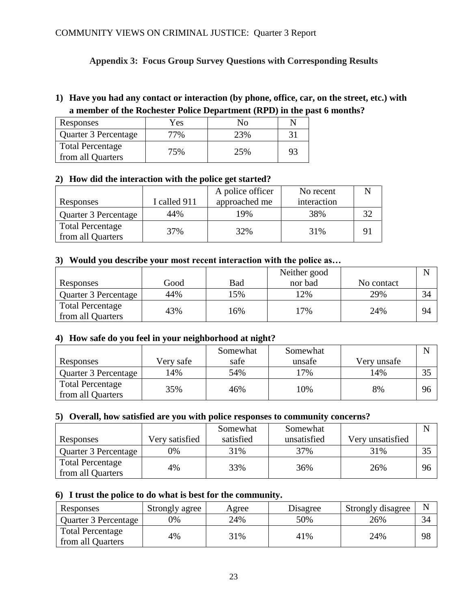# **Appendix 3: Focus Group Survey Questions with Corresponding Results**

# **1) Have you had any contact or interaction (by phone, office, car, on the street, etc.) with a member of the Rochester Police Department (RPD) in the past 6 months?**

| Responses                                    | Yes | Nο  |    |
|----------------------------------------------|-----|-----|----|
| Quarter 3 Percentage                         | 7%  | 23% |    |
| <b>Total Percentage</b><br>from all Quarters | 75% | 25% | 93 |

### **2) How did the interaction with the police get started?**

|                         |              | A police officer | No recent   |  |
|-------------------------|--------------|------------------|-------------|--|
| Responses               | I called 911 | approached me    | interaction |  |
| Quarter 3 Percentage    | 44%          | 19%              | 38%         |  |
| <b>Total Percentage</b> | 37%          | 32%              | 31%         |  |
| from all Quarters       |              |                  |             |  |

### **3) Would you describe your most recent interaction with the police as…**

|                         |      |     | Neither good |            |    |
|-------------------------|------|-----|--------------|------------|----|
| Responses               | Good | Bad | nor bad      | No contact |    |
| Quarter 3 Percentage    | 44%  | .5% | 12%          | 29%        | 34 |
| <b>Total Percentage</b> | 43%  | 16% | 17%          | 24%        | 94 |
| from all Quarters       |      |     |              |            |    |

### **4) How safe do you feel in your neighborhood at night?**

|                                              |           | Somewhat | Somewhat |             |          |
|----------------------------------------------|-----------|----------|----------|-------------|----------|
| Responses                                    | Very safe | safe     | unsafe   | Very unsafe |          |
| Quarter 3 Percentage                         | 4%        | 54%      | $17\%$   | 14%         | $\Omega$ |
| <b>Total Percentage</b><br>from all Quarters | 35%       | 46%      | 10%      | 8%          | 96       |

### **5) Overall, how satisfied are you with police responses to community concerns?**

|                                              |                | Somewhat  | Somewhat    |                  |    |
|----------------------------------------------|----------------|-----------|-------------|------------------|----|
| Responses                                    | Very satisfied | satisfied | unsatisfied | Very unsatisfied |    |
| Quarter 3 Percentage                         | 7%             | 31%       | 37%         | 31%              | 35 |
| <b>Total Percentage</b><br>from all Quarters | 4%             | 33%       | 36%         | 26%              | 96 |

### **6) I trust the police to do what is best for the community.**

| Responses                             | Strongly agree | Agree | Disagree | Strongly disagree |    |
|---------------------------------------|----------------|-------|----------|-------------------|----|
| Quarter 3 Percentage                  | 0%             | 24%   | 50%      | 26%               | 34 |
| Total Percentage<br>from all Quarters | 4%             | 31%   | 41%      | 24%               | 98 |